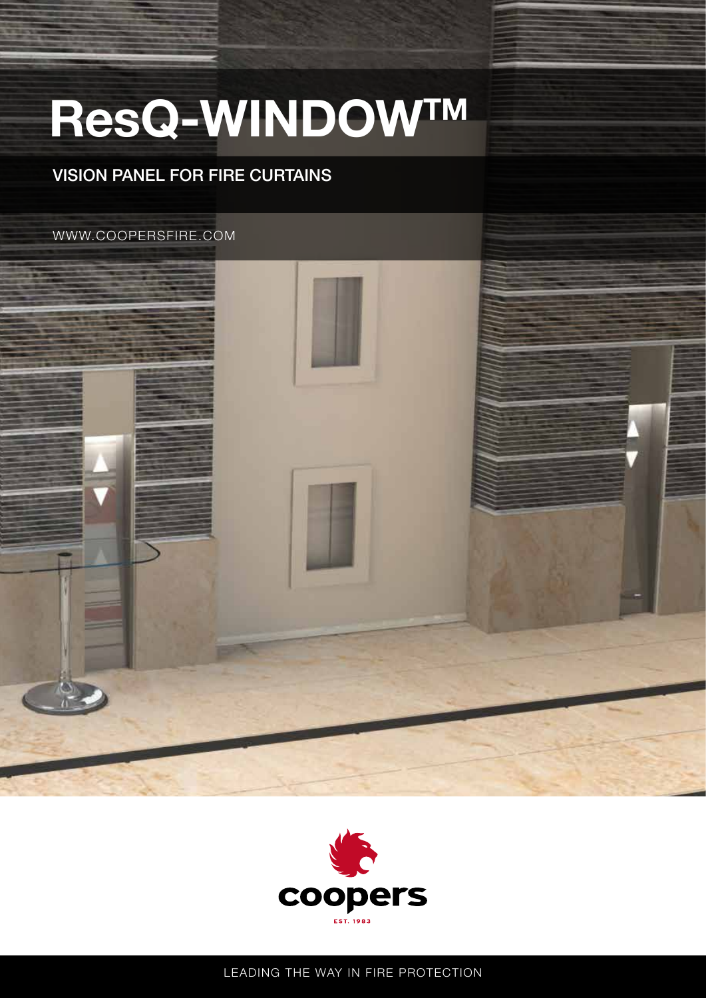## ResQ-WINDOWTM

## VISION PANEL FOR FIRE CURTAINS

WWW.COOPERSFIRE.COM





LEADING THE WAY IN FIRE PROTECTION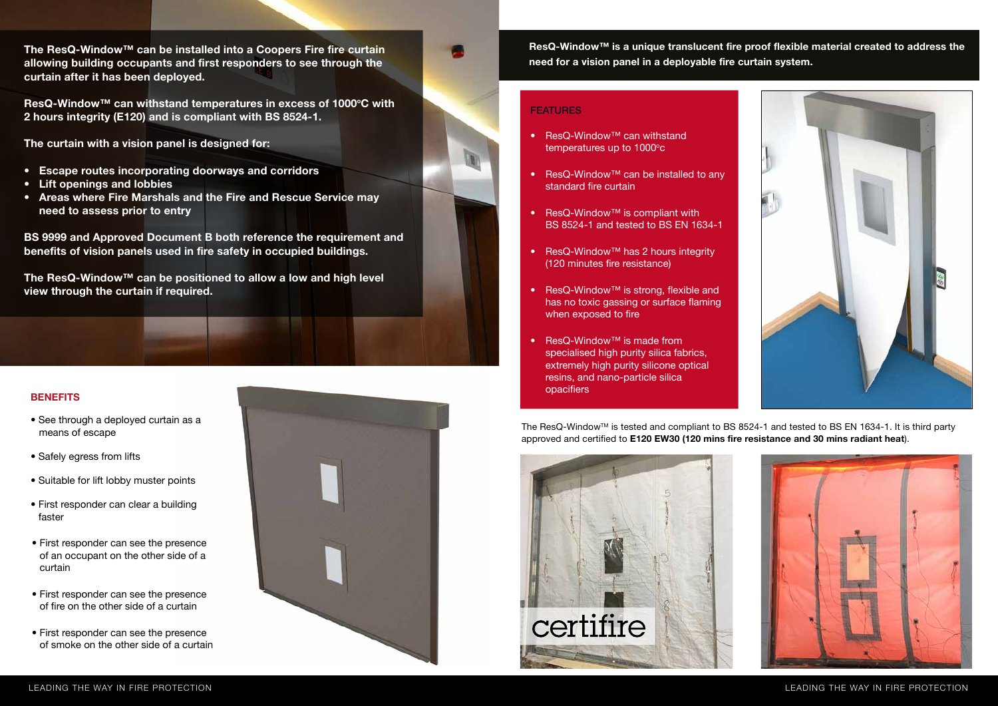

LEADING THE WAY IN FIRE PROTECTION



## **FEATURES**

- See through a deployed curtain as a means of escape
- Safely egress from lifts
- Suitable for lift lobby muster points
- First responder can clear a building faster
- First responder can see the presence of an occupant on the other side of a curtain
- First responder can see the presence of fire on the other side of a curtain
- First responder can see the presence of smoke on the other side of a curtain



ResQ-Window™ can withstand temperatures in excess of 1000°C with 2 hours integrity (E120) and is compliant with BS 8524-1.



The ResQ-Window™ can be installed into a Coopers Fire fire curtain allowing building occupants and first responders to see through the curtain after it has been deployed.

The curtain with a vision panel is designed for:

The ResQ-Window<sup>™</sup> is tested and compliant to BS 8524-1 and tested to BS EN 1634-1. It is third party approved and certified to E120 EW30 (120 mins fire resistance and 30 mins radiant heat).



- Escape routes incorporating doorways and corridors
- Lift openings and lobbies
- Areas where Fire Marshals and the Fire and Rescue Service may need to assess prior to entry

BS 9999 and Approved Document B both reference the requirement and benefits of vision panels used in fire safety in occupied buildings.

The ResQ-Window™ can be positioned to allow a low and high level view through the curtain if required.

## **BENEFITS**

- ResQ-Window™ can withstand temperatures up to 1000°c
- ResQ-Window™ can be installed to any standard fire curtain
- ResQ-Window™ is compliant with BS 8524-1 and tested to BS EN 1634-1
- ResQ-Window™ has 2 hours integrity (120 minutes fire resistance)
- ResQ-Window™ is strong, flexible and has no toxic gassing or surface flaming when exposed to fire
- **ResQ-Window™** is made from specialised high purity silica fabrics, extremely high purity silicone optical resins, and nano-particle silica opacifiers